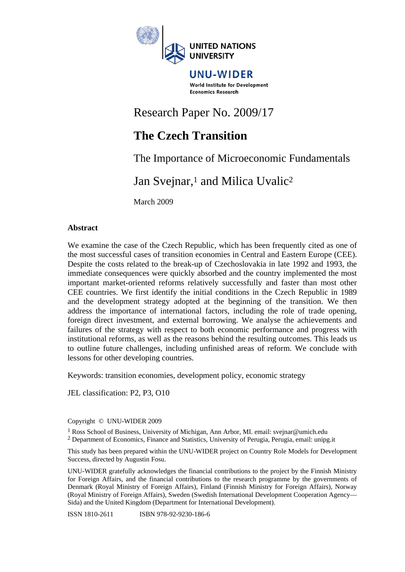

UNU-WIDER World Institute for Development **Economics Research** 

# Research Paper No. 2009/17

# **The Czech Transition**

The Importance of Microeconomic Fundamentals

# Jan Sveinar,<sup>1</sup> and Milica Uvalic<sup>2</sup>

March 2009

#### **Abstract**

We examine the case of the Czech Republic, which has been frequently cited as one of the most successful cases of transition economies in Central and Eastern Europe (CEE). Despite the costs related to the break-up of Czechoslovakia in late 1992 and 1993, the immediate consequences were quickly absorbed and the country implemented the most important market-oriented reforms relatively successfully and faster than most other CEE countries. We first identify the initial conditions in the Czech Republic in 1989 and the development strategy adopted at the beginning of the transition. We then address the importance of international factors, including the role of trade opening, foreign direct investment, and external borrowing. We analyse the achievements and failures of the strategy with respect to both economic performance and progress with institutional reforms, as well as the reasons behind the resulting outcomes. This leads us to outline future challenges, including unfinished areas of reform. We conclude with lessons for other developing countries.

Keywords: transition economies, development policy, economic strategy

JEL classification: P2, P3, O10

Copyright © UNU-WIDER 2009

1 Ross School of Business, University of Michigan, Ann Arbor, MI. email: svejnar@umich.edu

2 Department of Economics, Finance and Statistics, University of Perugia, Perugia, email: unipg.it

This study has been prepared within the UNU-WIDER project on Country Role Models for Development Success, directed by Augustin Fosu.

UNU-WIDER gratefully acknowledges the financial contributions to the project by the Finnish Ministry for Foreign Affairs, and the financial contributions to the research programme by the governments of Denmark (Royal Ministry of Foreign Affairs), Finland (Finnish Ministry for Foreign Affairs), Norway (Royal Ministry of Foreign Affairs), Sweden (Swedish International Development Cooperation Agency— Sida) and the United Kingdom (Department for International Development).

ISSN 1810-2611 ISBN 978-92-9230-186-6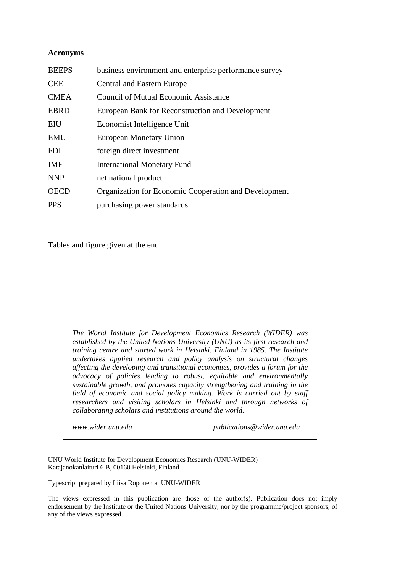#### **Acronyms**

| <b>BEEPS</b> | business environment and enterprise performance survey       |
|--------------|--------------------------------------------------------------|
| <b>CEE</b>   | <b>Central and Eastern Europe</b>                            |
| <b>CMEA</b>  | <b>Council of Mutual Economic Assistance</b>                 |
| <b>EBRD</b>  | European Bank for Reconstruction and Development             |
| EIU          | Economist Intelligence Unit                                  |
| <b>EMU</b>   | European Monetary Union                                      |
| <b>FDI</b>   | foreign direct investment                                    |
| <b>IMF</b>   | <b>International Monetary Fund</b>                           |
| <b>NNP</b>   | net national product                                         |
| <b>OECD</b>  | <b>Organization for Economic Cooperation and Development</b> |
| <b>PPS</b>   | purchasing power standards                                   |

Tables and figure given at the end.

*The World Institute for Development Economics Research (WIDER) was established by the United Nations University (UNU) as its first research and training centre and started work in Helsinki, Finland in 1985. The Institute undertakes applied research and policy analysis on structural changes affecting the developing and transitional economies, provides a forum for the advocacy of policies leading to robust, equitable and environmentally sustainable growth, and promotes capacity strengthening and training in the field of economic and social policy making. Work is carried out by staff researchers and visiting scholars in Helsinki and through networks of collaborating scholars and institutions around the world.* 

*www.wider.unu.edu publications@wider.unu.edu* 

UNU World Institute for Development Economics Research (UNU-WIDER) Katajanokanlaituri 6 B, 00160 Helsinki, Finland

Typescript prepared by Liisa Roponen at UNU-WIDER

The views expressed in this publication are those of the author(s). Publication does not imply endorsement by the Institute or the United Nations University, nor by the programme/project sponsors, of any of the views expressed.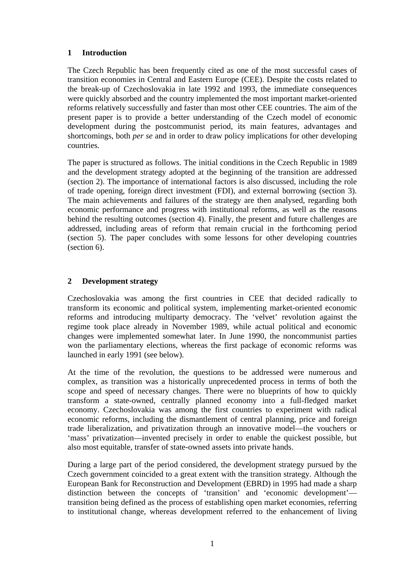# **1 Introduction**

The Czech Republic has been frequently cited as one of the most successful cases of transition economies in Central and Eastern Europe (CEE). Despite the costs related to the break-up of Czechoslovakia in late 1992 and 1993, the immediate consequences were quickly absorbed and the country implemented the most important market-oriented reforms relatively successfully and faster than most other CEE countries. The aim of the present paper is to provide a better understanding of the Czech model of economic development during the postcommunist period, its main features, advantages and shortcomings, both *per se* and in order to draw policy implications for other developing countries.

The paper is structured as follows. The initial conditions in the Czech Republic in 1989 and the development strategy adopted at the beginning of the transition are addressed (section 2). The importance of international factors is also discussed, including the role of trade opening, foreign direct investment (FDI), and external borrowing (section 3). The main achievements and failures of the strategy are then analysed, regarding both economic performance and progress with institutional reforms, as well as the reasons behind the resulting outcomes (section 4). Finally, the present and future challenges are addressed, including areas of reform that remain crucial in the forthcoming period (section 5). The paper concludes with some lessons for other developing countries (section 6).

# **2 Development strategy**

Czechoslovakia was among the first countries in CEE that decided radically to transform its economic and political system, implementing market-oriented economic reforms and introducing multiparty democracy. The 'velvet' revolution against the regime took place already in November 1989, while actual political and economic changes were implemented somewhat later. In June 1990, the noncommunist parties won the parliamentary elections, whereas the first package of economic reforms was launched in early 1991 (see below).

At the time of the revolution, the questions to be addressed were numerous and complex, as transition was a historically unprecedented process in terms of both the scope and speed of necessary changes. There were no blueprints of how to quickly transform a state-owned, centrally planned economy into a full-fledged market economy. Czechoslovakia was among the first countries to experiment with radical economic reforms, including the dismantlement of central planning, price and foreign trade liberalization, and privatization through an innovative model—the vouchers or 'mass' privatization—invented precisely in order to enable the quickest possible, but also most equitable, transfer of state-owned assets into private hands.

During a large part of the period considered, the development strategy pursued by the Czech government coincided to a great extent with the transition strategy. Although the European Bank for Reconstruction and Development (EBRD) in 1995 had made a sharp distinction between the concepts of 'transition' and 'economic development' transition being defined as the process of establishing open market economies, referring to institutional change, whereas development referred to the enhancement of living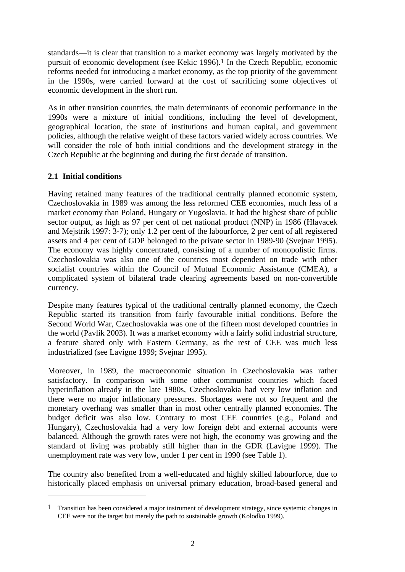standards—it is clear that transition to a market economy was largely motivated by the pursuit of economic development (see Kekic 1996).1 In the Czech Republic, economic reforms needed for introducing a market economy, as the top priority of the government in the 1990s, were carried forward at the cost of sacrificing some objectives of economic development in the short run.

As in other transition countries, the main determinants of economic performance in the 1990s were a mixture of initial conditions, including the level of development, geographical location, the state of institutions and human capital, and government policies, although the relative weight of these factors varied widely across countries. We will consider the role of both initial conditions and the development strategy in the Czech Republic at the beginning and during the first decade of transition.

# **2.1 Initial conditions**

 $\overline{a}$ 

Having retained many features of the traditional centrally planned economic system, Czechoslovakia in 1989 was among the less reformed CEE economies, much less of a market economy than Poland, Hungary or Yugoslavia. It had the highest share of public sector output, as high as 97 per cent of net national product (NNP) in 1986 (Hlavacek and Mejstrik 1997: 3-7); only 1.2 per cent of the labourforce, 2 per cent of all registered assets and 4 per cent of GDP belonged to the private sector in 1989-90 (Svejnar 1995). The economy was highly concentrated, consisting of a number of monopolistic firms. Czechoslovakia was also one of the countries most dependent on trade with other socialist countries within the Council of Mutual Economic Assistance (CMEA), a complicated system of bilateral trade clearing agreements based on non-convertible currency.

Despite many features typical of the traditional centrally planned economy, the Czech Republic started its transition from fairly favourable initial conditions. Before the Second World War, Czechoslovakia was one of the fifteen most developed countries in the world (Pavlik 2003). It was a market economy with a fairly solid industrial structure, a feature shared only with Eastern Germany, as the rest of CEE was much less industrialized (see Lavigne 1999; Svejnar 1995).

Moreover, in 1989, the macroeconomic situation in Czechoslovakia was rather satisfactory. In comparison with some other communist countries which faced hyperinflation already in the late 1980s, Czechoslovakia had very low inflation and there were no major inflationary pressures. Shortages were not so frequent and the monetary overhang was smaller than in most other centrally planned economies. The budget deficit was also low. Contrary to most CEE countries (e.g., Poland and Hungary), Czechoslovakia had a very low foreign debt and external accounts were balanced. Although the growth rates were not high, the economy was growing and the standard of living was probably still higher than in the GDR (Lavigne 1999). The unemployment rate was very low, under 1 per cent in 1990 (see Table 1).

The country also benefited from a well-educated and highly skilled labourforce, due to historically placed emphasis on universal primary education, broad-based general and

<sup>1</sup> Transition has been considered a major instrument of development strategy, since systemic changes in CEE were not the target but merely the path to sustainable growth (Kolodko 1999).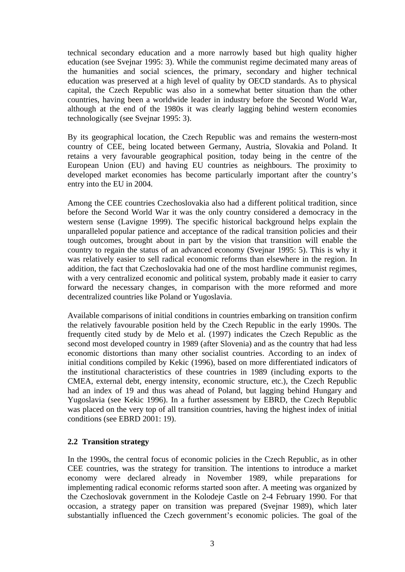technical secondary education and a more narrowly based but high quality higher education (see Svejnar 1995: 3). While the communist regime decimated many areas of the humanities and social sciences, the primary, secondary and higher technical education was preserved at a high level of quality by OECD standards. As to physical capital, the Czech Republic was also in a somewhat better situation than the other countries, having been a worldwide leader in industry before the Second World War, although at the end of the 1980s it was clearly lagging behind western economies technologically (see Svejnar 1995: 3).

By its geographical location, the Czech Republic was and remains the western-most country of CEE, being located between Germany, Austria, Slovakia and Poland. It retains a very favourable geographical position, today being in the centre of the European Union (EU) and having EU countries as neighbours. The proximity to developed market economies has become particularly important after the country's entry into the EU in 2004.

Among the CEE countries Czechoslovakia also had a different political tradition, since before the Second World War it was the only country considered a democracy in the western sense (Lavigne 1999). The specific historical background helps explain the unparalleled popular patience and acceptance of the radical transition policies and their tough outcomes, brought about in part by the vision that transition will enable the country to regain the status of an advanced economy (Svejnar 1995: 5). This is why it was relatively easier to sell radical economic reforms than elsewhere in the region. In addition, the fact that Czechoslovakia had one of the most hardline communist regimes, with a very centralized economic and political system, probably made it easier to carry forward the necessary changes, in comparison with the more reformed and more decentralized countries like Poland or Yugoslavia.

Available comparisons of initial conditions in countries embarking on transition confirm the relatively favourable position held by the Czech Republic in the early 1990s. The frequently cited study by de Melo et al. (1997) indicates the Czech Republic as the second most developed country in 1989 (after Slovenia) and as the country that had less economic distortions than many other socialist countries. According to an index of initial conditions compiled by Kekic (1996), based on more differentiated indicators of the institutional characteristics of these countries in 1989 (including exports to the CMEA, external debt, energy intensity, economic structure, etc.), the Czech Republic had an index of 19 and thus was ahead of Poland, but lagging behind Hungary and Yugoslavia (see Kekic 1996). In a further assessment by EBRD, the Czech Republic was placed on the very top of all transition countries, having the highest index of initial conditions (see EBRD 2001: 19).

#### **2.2 Transition strategy**

In the 1990s, the central focus of economic policies in the Czech Republic, as in other CEE countries, was the strategy for transition. The intentions to introduce a market economy were declared already in November 1989, while preparations for implementing radical economic reforms started soon after. A meeting was organized by the Czechoslovak government in the Kolodeje Castle on 2-4 February 1990. For that occasion, a strategy paper on transition was prepared (Svejnar 1989), which later substantially influenced the Czech government's economic policies. The goal of the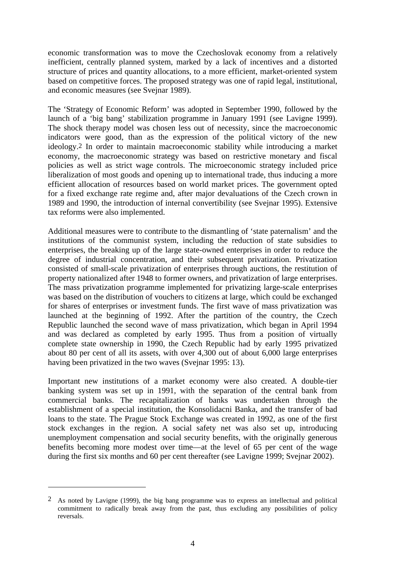economic transformation was to move the Czechoslovak economy from a relatively inefficient, centrally planned system, marked by a lack of incentives and a distorted structure of prices and quantity allocations, to a more efficient, market-oriented system based on competitive forces. The proposed strategy was one of rapid legal, institutional, and economic measures (see Svejnar 1989).

The 'Strategy of Economic Reform' was adopted in September 1990, followed by the launch of a 'big bang' stabilization programme in January 1991 (see Lavigne 1999). The shock therapy model was chosen less out of necessity, since the macroeconomic indicators were good, than as the expression of the political victory of the new ideology.2 In order to maintain macroeconomic stability while introducing a market economy, the macroeconomic strategy was based on restrictive monetary and fiscal policies as well as strict wage controls. The microeconomic strategy included price liberalization of most goods and opening up to international trade, thus inducing a more efficient allocation of resources based on world market prices. The government opted for a fixed exchange rate regime and, after major devaluations of the Czech crown in 1989 and 1990, the introduction of internal convertibility (see Svejnar 1995). Extensive tax reforms were also implemented.

Additional measures were to contribute to the dismantling of 'state paternalism' and the institutions of the communist system, including the reduction of state subsidies to enterprises, the breaking up of the large state-owned enterprises in order to reduce the degree of industrial concentration, and their subsequent privatization. Privatization consisted of small-scale privatization of enterprises through auctions, the restitution of property nationalized after 1948 to former owners, and privatization of large enterprises. The mass privatization programme implemented for privatizing large-scale enterprises was based on the distribution of vouchers to citizens at large, which could be exchanged for shares of enterprises or investment funds. The first wave of mass privatization was launched at the beginning of 1992. After the partition of the country, the Czech Republic launched the second wave of mass privatization, which began in April 1994 and was declared as completed by early 1995. Thus from a position of virtually complete state ownership in 1990, the Czech Republic had by early 1995 privatized about 80 per cent of all its assets, with over 4,300 out of about 6,000 large enterprises having been privatized in the two waves (Svejnar 1995: 13).

Important new institutions of a market economy were also created. A double-tier banking system was set up in 1991, with the separation of the central bank from commercial banks. The recapitalization of banks was undertaken through the establishment of a special institution, the Konsolidacni Banka, and the transfer of bad loans to the state. The Prague Stock Exchange was created in 1992, as one of the first stock exchanges in the region. A social safety net was also set up, introducing unemployment compensation and social security benefits, with the originally generous benefits becoming more modest over time—at the level of 65 per cent of the wage during the first six months and 60 per cent thereafter (see Lavigne 1999; Svejnar 2002).

 $\overline{a}$ 

<sup>2</sup> As noted by Lavigne (1999), the big bang programme was to express an intellectual and political commitment to radically break away from the past, thus excluding any possibilities of policy reversals.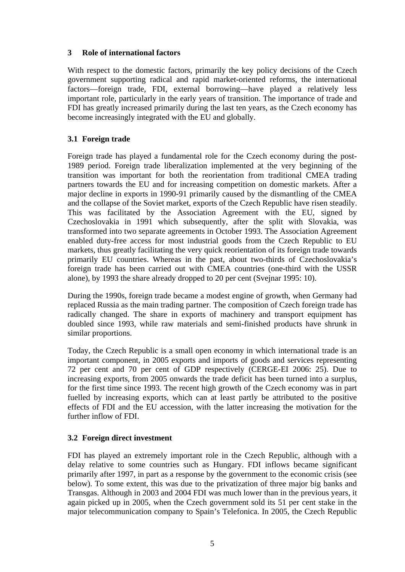# **3 Role of international factors**

With respect to the domestic factors, primarily the key policy decisions of the Czech government supporting radical and rapid market-oriented reforms, the international factors—foreign trade, FDI, external borrowing—have played a relatively less important role, particularly in the early years of transition. The importance of trade and FDI has greatly increased primarily during the last ten years, as the Czech economy has become increasingly integrated with the EU and globally.

# **3.1 Foreign trade**

Foreign trade has played a fundamental role for the Czech economy during the post-1989 period. Foreign trade liberalization implemented at the very beginning of the transition was important for both the reorientation from traditional CMEA trading partners towards the EU and for increasing competition on domestic markets. After a major decline in exports in 1990-91 primarily caused by the dismantling of the CMEA and the collapse of the Soviet market, exports of the Czech Republic have risen steadily. This was facilitated by the Association Agreement with the EU, signed by Czechoslovakia in 1991 which subsequently, after the split with Slovakia, was transformed into two separate agreements in October 1993. The Association Agreement enabled duty-free access for most industrial goods from the Czech Republic to EU markets, thus greatly facilitating the very quick reorientation of its foreign trade towards primarily EU countries. Whereas in the past, about two-thirds of Czechoslovakia's foreign trade has been carried out with CMEA countries (one-third with the USSR alone), by 1993 the share already dropped to 20 per cent (Svejnar 1995: 10).

During the 1990s, foreign trade became a modest engine of growth, when Germany had replaced Russia as the main trading partner. The composition of Czech foreign trade has radically changed. The share in exports of machinery and transport equipment has doubled since 1993, while raw materials and semi-finished products have shrunk in similar proportions.

Today, the Czech Republic is a small open economy in which international trade is an important component, in 2005 exports and imports of goods and services representing 72 per cent and 70 per cent of GDP respectively (CERGE-EI 2006: 25). Due to increasing exports, from 2005 onwards the trade deficit has been turned into a surplus, for the first time since 1993. The recent high growth of the Czech economy was in part fuelled by increasing exports, which can at least partly be attributed to the positive effects of FDI and the EU accession, with the latter increasing the motivation for the further inflow of FDI.

# **3.2 Foreign direct investment**

FDI has played an extremely important role in the Czech Republic, although with a delay relative to some countries such as Hungary. FDI inflows became significant primarily after 1997, in part as a response by the government to the economic crisis (see below). To some extent, this was due to the privatization of three major big banks and Transgas. Although in 2003 and 2004 FDI was much lower than in the previous years, it again picked up in 2005, when the Czech government sold its 51 per cent stake in the major telecommunication company to Spain's Telefonica. In 2005, the Czech Republic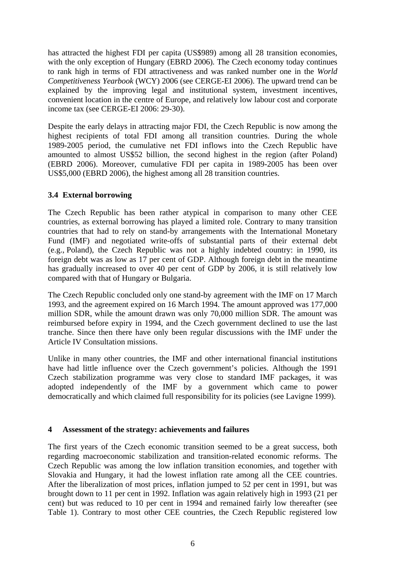has attracted the highest FDI per capita (US\$989) among all 28 transition economies, with the only exception of Hungary (EBRD 2006). The Czech economy today continues to rank high in terms of FDI attractiveness and was ranked number one in the *World Competitiveness Yearbook* (WCY) 2006 (see CERGE-EI 2006). The upward trend can be explained by the improving legal and institutional system, investment incentives, convenient location in the centre of Europe, and relatively low labour cost and corporate income tax (see CERGE-EI 2006: 29-30).

Despite the early delays in attracting major FDI, the Czech Republic is now among the highest recipients of total FDI among all transition countries. During the whole 1989-2005 period, the cumulative net FDI inflows into the Czech Republic have amounted to almost US\$52 billion, the second highest in the region (after Poland) (EBRD 2006). Moreover, cumulative FDI per capita in 1989-2005 has been over US\$5,000 (EBRD 2006), the highest among all 28 transition countries.

#### **3.4 External borrowing**

The Czech Republic has been rather atypical in comparison to many other CEE countries, as external borrowing has played a limited role. Contrary to many transition countries that had to rely on stand-by arrangements with the International Monetary Fund (IMF) and negotiated write-offs of substantial parts of their external debt (e.g., Poland), the Czech Republic was not a highly indebted country: in 1990, its foreign debt was as low as 17 per cent of GDP. Although foreign debt in the meantime has gradually increased to over 40 per cent of GDP by 2006, it is still relatively low compared with that of Hungary or Bulgaria.

The Czech Republic concluded only one stand-by agreement with the IMF on 17 March 1993, and the agreement expired on 16 March 1994. The amount approved was 177,000 million SDR, while the amount drawn was only 70,000 million SDR. The amount was reimbursed before expiry in 1994, and the Czech government declined to use the last tranche. Since then there have only been regular discussions with the IMF under the Article IV Consultation missions.

Unlike in many other countries, the IMF and other international financial institutions have had little influence over the Czech government's policies. Although the 1991 Czech stabilization programme was very close to standard IMF packages, it was adopted independently of the IMF by a government which came to power democratically and which claimed full responsibility for its policies (see Lavigne 1999).

#### **4 Assessment of the strategy: achievements and failures**

The first years of the Czech economic transition seemed to be a great success, both regarding macroeconomic stabilization and transition-related economic reforms. The Czech Republic was among the low inflation transition economies, and together with Slovakia and Hungary, it had the lowest inflation rate among all the CEE countries. After the liberalization of most prices, inflation jumped to 52 per cent in 1991, but was brought down to 11 per cent in 1992. Inflation was again relatively high in 1993 (21 per cent) but was reduced to 10 per cent in 1994 and remained fairly low thereafter (see Table 1). Contrary to most other CEE countries, the Czech Republic registered low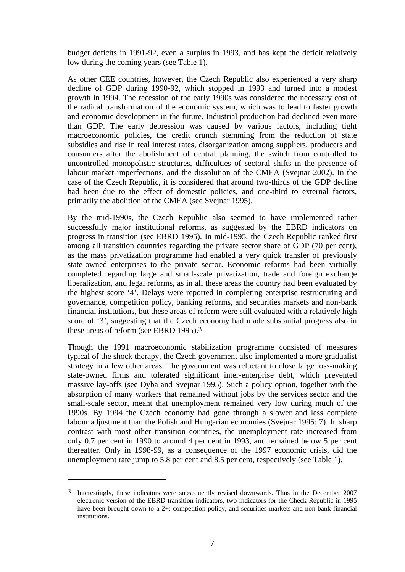budget deficits in 1991-92, even a surplus in 1993, and has kept the deficit relatively low during the coming years (see Table 1).

As other CEE countries, however, the Czech Republic also experienced a very sharp decline of GDP during 1990-92, which stopped in 1993 and turned into a modest growth in 1994. The recession of the early 1990s was considered the necessary cost of the radical transformation of the economic system, which was to lead to faster growth and economic development in the future. Industrial production had declined even more than GDP. The early depression was caused by various factors, including tight macroeconomic policies, the credit crunch stemming from the reduction of state subsidies and rise in real interest rates, disorganization among suppliers, producers and consumers after the abolishment of central planning, the switch from controlled to uncontrolled monopolistic structures, difficulties of sectoral shifts in the presence of labour market imperfections, and the dissolution of the CMEA (Svejnar 2002). In the case of the Czech Republic, it is considered that around two-thirds of the GDP decline had been due to the effect of domestic policies, and one-third to external factors, primarily the abolition of the CMEA (see Svejnar 1995).

By the mid-1990s, the Czech Republic also seemed to have implemented rather successfully major institutional reforms, as suggested by the EBRD indicators on progress in transition (see EBRD 1995). In mid-1995, the Czech Republic ranked first among all transition countries regarding the private sector share of GDP (70 per cent), as the mass privatization programme had enabled a very quick transfer of previously state-owned enterprises to the private sector. Economic reforms had been virtually completed regarding large and small-scale privatization, trade and foreign exchange liberalization, and legal reforms, as in all these areas the country had been evaluated by the highest score '4'. Delays were reported in completing enterprise restructuring and governance, competition policy, banking reforms, and securities markets and non-bank financial institutions, but these areas of reform were still evaluated with a relatively high score of '3', suggesting that the Czech economy had made substantial progress also in these areas of reform (see EBRD 1995).3

Though the 1991 macroeconomic stabilization programme consisted of measures typical of the shock therapy, the Czech government also implemented a more gradualist strategy in a few other areas. The government was reluctant to close large loss-making state-owned firms and tolerated significant inter-enterprise debt, which prevented massive lay-offs (see Dyba and Svejnar 1995). Such a policy option, together with the absorption of many workers that remained without jobs by the services sector and the small-scale sector, meant that unemployment remained very low during much of the 1990s. By 1994 the Czech economy had gone through a slower and less complete labour adjustment than the Polish and Hungarian economies (Svejnar 1995: 7). In sharp contrast with most other transition countries, the unemployment rate increased from only 0.7 per cent in 1990 to around 4 per cent in 1993, and remained below 5 per cent thereafter. Only in 1998-99, as a consequence of the 1997 economic crisis, did the unemployment rate jump to 5.8 per cent and 8.5 per cent, respectively (see Table 1).

1

<sup>3</sup> Interestingly, these indicators were subsequently revised downwards. Thus in the December 2007 electronic version of the EBRD transition indicators, two indicators for the Check Republic in 1995 have been brought down to a 2+: competition policy, and securities markets and non-bank financial institutions.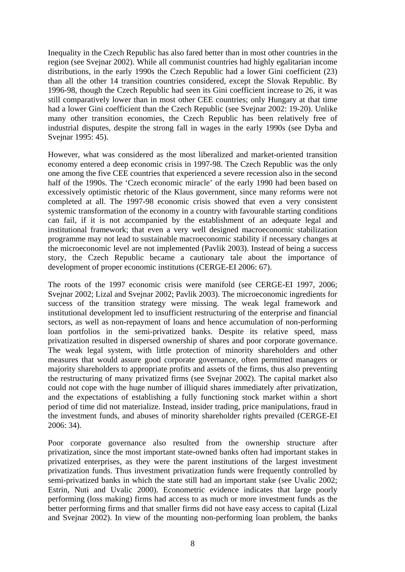Inequality in the Czech Republic has also fared better than in most other countries in the region (see Svejnar 2002). While all communist countries had highly egalitarian income distributions, in the early 1990s the Czech Republic had a lower Gini coefficient (23) than all the other 14 transition countries considered, except the Slovak Republic. By 1996-98, though the Czech Republic had seen its Gini coefficient increase to 26, it was still comparatively lower than in most other CEE countries; only Hungary at that time had a lower Gini coefficient than the Czech Republic (see Svejnar 2002: 19-20). Unlike many other transition economies, the Czech Republic has been relatively free of industrial disputes, despite the strong fall in wages in the early 1990s (see Dyba and Svejnar 1995: 45).

However, what was considered as the most liberalized and market-oriented transition economy entered a deep economic crisis in 1997-98. The Czech Republic was the only one among the five CEE countries that experienced a severe recession also in the second half of the 1990s. The 'Czech economic miracle' of the early 1990 had been based on excessively optimistic rhetoric of the Klaus government, since many reforms were not completed at all. The 1997-98 economic crisis showed that even a very consistent systemic transformation of the economy in a country with favourable starting conditions can fail, if it is not accompanied by the establishment of an adequate legal and institutional framework; that even a very well designed macroeconomic stabilization programme may not lead to sustainable macroeconomic stability if necessary changes at the microeconomic level are not implemented (Pavlik 2003). Instead of being a success story, the Czech Republic became a cautionary tale about the importance of development of proper economic institutions (CERGE-EI 2006: 67).

The roots of the 1997 economic crisis were manifold (see CERGE-EI 1997, 2006; Svejnar 2002; Lizal and Svejnar 2002; Pavlik 2003). The microeconomic ingredients for success of the transition strategy were missing. The weak legal framework and institutional development led to insufficient restructuring of the enterprise and financial sectors, as well as non-repayment of loans and hence accumulation of non-performing loan portfolios in the semi-privatized banks. Despite its relative speed, mass privatization resulted in dispersed ownership of shares and poor corporate governance. The weak legal system, with little protection of minority shareholders and other measures that would assure good corporate governance, often permitted managers or majority shareholders to appropriate profits and assets of the firms, thus also preventing the restructuring of many privatized firms (see Svejnar 2002). The capital market also could not cope with the huge number of illiquid shares immediately after privatization, and the expectations of establishing a fully functioning stock market within a short period of time did not materialize. Instead, insider trading, price manipulations, fraud in the investment funds, and abuses of minority shareholder rights prevailed (CERGE-EI 2006: 34).

Poor corporate governance also resulted from the ownership structure after privatization, since the most important state-owned banks often had important stakes in privatized enterprises, as they were the parent institutions of the largest investment privatization funds. Thus investment privatization funds were frequently controlled by semi-privatized banks in which the state still had an important stake (see Uvalic 2002; Estrin, Nuti and Uvalic 2000). Econometric evidence indicates that large poorly performing (loss making) firms had access to as much or more investment funds as the better performing firms and that smaller firms did not have easy access to capital (Lizal and Svejnar 2002). In view of the mounting non-performing loan problem, the banks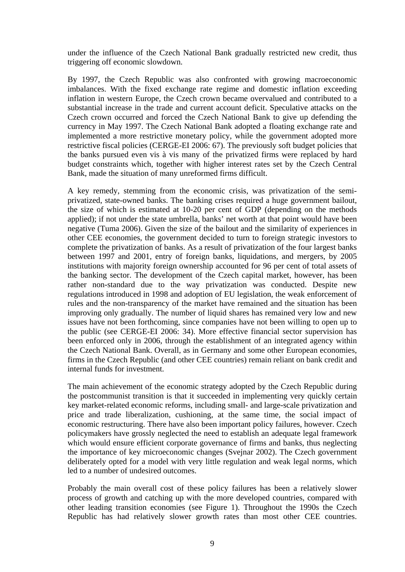under the influence of the Czech National Bank gradually restricted new credit, thus triggering off economic slowdown.

By 1997, the Czech Republic was also confronted with growing macroeconomic imbalances. With the fixed exchange rate regime and domestic inflation exceeding inflation in western Europe, the Czech crown became overvalued and contributed to a substantial increase in the trade and current account deficit. Speculative attacks on the Czech crown occurred and forced the Czech National Bank to give up defending the currency in May 1997. The Czech National Bank adopted a floating exchange rate and implemented a more restrictive monetary policy, while the government adopted more restrictive fiscal policies (CERGE-EI 2006: 67). The previously soft budget policies that the banks pursued even vis à vis many of the privatized firms were replaced by hard budget constraints which, together with higher interest rates set by the Czech Central Bank, made the situation of many unreformed firms difficult.

A key remedy, stemming from the economic crisis, was privatization of the semiprivatized, state-owned banks. The banking crises required a huge government bailout, the size of which is estimated at 10-20 per cent of GDP (depending on the methods applied); if not under the state umbrella, banks' net worth at that point would have been negative (Tuma 2006). Given the size of the bailout and the similarity of experiences in other CEE economies, the government decided to turn to foreign strategic investors to complete the privatization of banks. As a result of privatization of the four largest banks between 1997 and 2001, entry of foreign banks, liquidations, and mergers, by 2005 institutions with majority foreign ownership accounted for 96 per cent of total assets of the banking sector. The development of the Czech capital market, however, has been rather non-standard due to the way privatization was conducted. Despite new regulations introduced in 1998 and adoption of EU legislation, the weak enforcement of rules and the non-transparency of the market have remained and the situation has been improving only gradually. The number of liquid shares has remained very low and new issues have not been forthcoming, since companies have not been willing to open up to the public (see CERGE-EI 2006: 34). More effective financial sector supervision has been enforced only in 2006, through the establishment of an integrated agency within the Czech National Bank. Overall, as in Germany and some other European economies, firms in the Czech Republic (and other CEE countries) remain reliant on bank credit and internal funds for investment.

The main achievement of the economic strategy adopted by the Czech Republic during the postcommunist transition is that it succeeded in implementing very quickly certain key market-related economic reforms, including small- and large-scale privatization and price and trade liberalization, cushioning, at the same time, the social impact of economic restructuring. There have also been important policy failures, however. Czech policymakers have grossly neglected the need to establish an adequate legal framework which would ensure efficient corporate governance of firms and banks, thus neglecting the importance of key microeconomic changes (Svejnar 2002). The Czech government deliberately opted for a model with very little regulation and weak legal norms, which led to a number of undesired outcomes.

Probably the main overall cost of these policy failures has been a relatively slower process of growth and catching up with the more developed countries, compared with other leading transition economies (see Figure 1). Throughout the 1990s the Czech Republic has had relatively slower growth rates than most other CEE countries.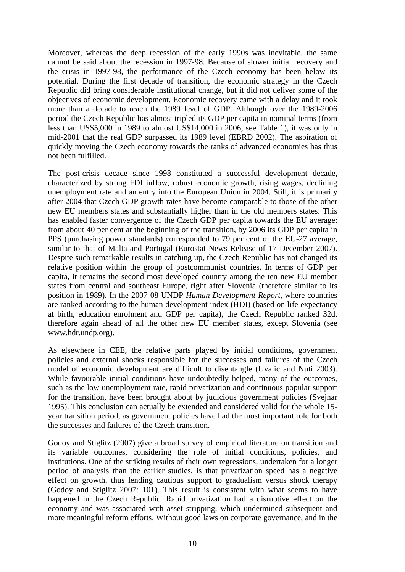Moreover, whereas the deep recession of the early 1990s was inevitable, the same cannot be said about the recession in 1997-98. Because of slower initial recovery and the crisis in 1997-98, the performance of the Czech economy has been below its potential. During the first decade of transition, the economic strategy in the Czech Republic did bring considerable institutional change, but it did not deliver some of the objectives of economic development. Economic recovery came with a delay and it took more than a decade to reach the 1989 level of GDP. Although over the 1989-2006 period the Czech Republic has almost tripled its GDP per capita in nominal terms (from less than US\$5,000 in 1989 to almost US\$14,000 in 2006, see Table 1), it was only in mid-2001 that the real GDP surpassed its 1989 level (EBRD 2002). The aspiration of quickly moving the Czech economy towards the ranks of advanced economies has thus not been fulfilled.

The post-crisis decade since 1998 constituted a successful development decade, characterized by strong FDI inflow, robust economic growth, rising wages, declining unemployment rate and an entry into the European Union in 2004. Still, it is primarily after 2004 that Czech GDP growth rates have become comparable to those of the other new EU members states and substantially higher than in the old members states. This has enabled faster convergence of the Czech GDP per capita towards the EU average: from about 40 per cent at the beginning of the transition, by 2006 its GDP per capita in PPS (purchasing power standards) corresponded to 79 per cent of the EU-27 average, similar to that of Malta and Portugal (Eurostat News Release of 17 December 2007). Despite such remarkable results in catching up, the Czech Republic has not changed its relative position within the group of postcommunist countries. In terms of GDP per capita, it remains the second most developed country among the ten new EU member states from central and southeast Europe, right after Slovenia (therefore similar to its position in 1989). In the 2007-08 UNDP *Human Development Report*, where countries are ranked according to the human development index (HDI) (based on life expectancy at birth, education enrolment and GDP per capita), the Czech Republic ranked 32d, therefore again ahead of all the other new EU member states, except Slovenia (see www.hdr.undp.org).

As elsewhere in CEE, the relative parts played by initial conditions, government policies and external shocks responsible for the successes and failures of the Czech model of economic development are difficult to disentangle (Uvalic and Nuti 2003). While favourable initial conditions have undoubtedly helped, many of the outcomes, such as the low unemployment rate, rapid privatization and continuous popular support for the transition, have been brought about by judicious government policies (Svejnar 1995). This conclusion can actually be extended and considered valid for the whole 15 year transition period, as government policies have had the most important role for both the successes and failures of the Czech transition.

Godoy and Stiglitz (2007) give a broad survey of empirical literature on transition and its variable outcomes, considering the role of initial conditions, policies, and institutions. One of the striking results of their own regressions, undertaken for a longer period of analysis than the earlier studies, is that privatization speed has a negative effect on growth, thus lending cautious support to gradualism versus shock therapy (Godoy and Stiglitz 2007: 101). This result is consistent with what seems to have happened in the Czech Republic. Rapid privatization had a disruptive effect on the economy and was associated with asset stripping, which undermined subsequent and more meaningful reform efforts. Without good laws on corporate governance, and in the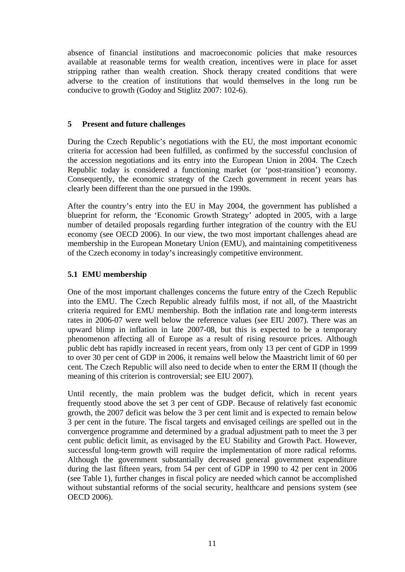absence of financial institutions and macroeconomic policies that make resources available at reasonable terms for wealth creation, incentives were in place for asset stripping rather than wealth creation. Shock therapy created conditions that were adverse to the creation of institutions that would themselves in the long run be conducive to growth (Godoy and Stiglitz 2007: 102-6).

#### **5 Present and future challenges**

During the Czech Republic's negotiations with the EU, the most important economic criteria for accession had been fulfilled, as confirmed by the successful conclusion of the accession negotiations and its entry into the European Union in 2004. The Czech Republic today is considered a functioning market (or 'post-transition') economy. Consequently, the economic strategy of the Czech government in recent years has clearly been different than the one pursued in the 1990s.

After the country's entry into the EU in May 2004, the government has published a blueprint for reform, the 'Economic Growth Strategy' adopted in 2005, with a large number of detailed proposals regarding further integration of the country with the EU economy (see OECD 2006). In our view, the two most important challenges ahead are membership in the European Monetary Union (EMU), and maintaining competitiveness of the Czech economy in today's increasingly competitive environment.

#### **5.1 EMU membership**

One of the most important challenges concerns the future entry of the Czech Republic into the EMU. The Czech Republic already fulfils most, if not all, of the Maastricht criteria required for EMU membership. Both the inflation rate and long-term interests rates in 2006-07 were well below the reference values (see EIU 2007). There was an upward blimp in inflation in late 2007-08, but this is expected to be a temporary phenomenon affecting all of Europe as a result of rising resource prices. Although public debt has rapidly increased in recent years, from only 13 per cent of GDP in 1999 to over 30 per cent of GDP in 2006, it remains well below the Maastricht limit of 60 per cent. The Czech Republic will also need to decide when to enter the ERM II (though the meaning of this criterion is controversial; see EIU 2007).

Until recently, the main problem was the budget deficit, which in recent years frequently stood above the set 3 per cent of GDP. Because of relatively fast economic growth, the 2007 deficit was below the 3 per cent limit and is expected to remain below 3 per cent in the future. The fiscal targets and envisaged ceilings are spelled out in the convergence programme and determined by a gradual adjustment path to meet the 3 per cent public deficit limit, as envisaged by the EU Stability and Growth Pact. However, successful long-term growth will require the implementation of more radical reforms. Although the government substantially decreased general government expenditure during the last fifteen years, from 54 per cent of GDP in 1990 to 42 per cent in 2006 (see Table 1), further changes in fiscal policy are needed which cannot be accomplished without substantial reforms of the social security, healthcare and pensions system (see OECD 2006).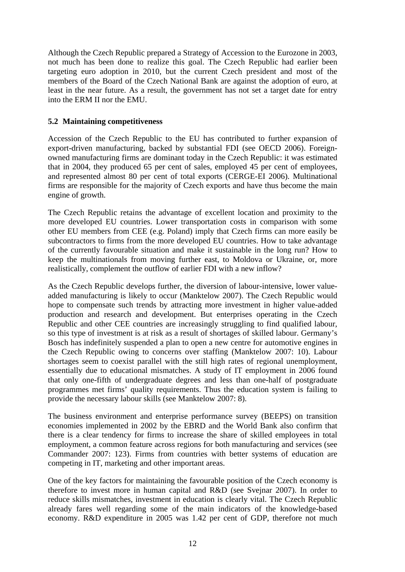Although the Czech Republic prepared a Strategy of Accession to the Eurozone in 2003, not much has been done to realize this goal. The Czech Republic had earlier been targeting euro adoption in 2010, but the current Czech president and most of the members of the Board of the Czech National Bank are against the adoption of euro, at least in the near future. As a result, the government has not set a target date for entry into the ERM II nor the EMU.

### **5.2 Maintaining competitiveness**

Accession of the Czech Republic to the EU has contributed to further expansion of export-driven manufacturing, backed by substantial FDI (see OECD 2006). Foreignowned manufacturing firms are dominant today in the Czech Republic: it was estimated that in 2004, they produced 65 per cent of sales, employed 45 per cent of employees, and represented almost 80 per cent of total exports (CERGE-EI 2006). Multinational firms are responsible for the majority of Czech exports and have thus become the main engine of growth.

The Czech Republic retains the advantage of excellent location and proximity to the more developed EU countries. Lower transportation costs in comparison with some other EU members from CEE (e.g. Poland) imply that Czech firms can more easily be subcontractors to firms from the more developed EU countries. How to take advantage of the currently favourable situation and make it sustainable in the long run? How to keep the multinationals from moving further east, to Moldova or Ukraine, or, more realistically, complement the outflow of earlier FDI with a new inflow?

As the Czech Republic develops further, the diversion of labour-intensive, lower valueadded manufacturing is likely to occur (Manktelow 2007). The Czech Republic would hope to compensate such trends by attracting more investment in higher value-added production and research and development. But enterprises operating in the Czech Republic and other CEE countries are increasingly struggling to find qualified labour, so this type of investment is at risk as a result of shortages of skilled labour. Germany's Bosch has indefinitely suspended a plan to open a new centre for automotive engines in the Czech Republic owing to concerns over staffing (Manktelow 2007: 10). Labour shortages seem to coexist parallel with the still high rates of regional unemployment, essentially due to educational mismatches. A study of IT employment in 2006 found that only one-fifth of undergraduate degrees and less than one-half of postgraduate programmes met firms' quality requirements. Thus the education system is failing to provide the necessary labour skills (see Manktelow 2007: 8).

The business environment and enterprise performance survey (BEEPS) on transition economies implemented in 2002 by the EBRD and the World Bank also confirm that there is a clear tendency for firms to increase the share of skilled employees in total employment, a common feature across regions for both manufacturing and services (see Commander 2007: 123). Firms from countries with better systems of education are competing in IT, marketing and other important areas.

One of the key factors for maintaining the favourable position of the Czech economy is therefore to invest more in human capital and R&D (see Svejnar 2007). In order to reduce skills mismatches, investment in education is clearly vital. The Czech Republic already fares well regarding some of the main indicators of the knowledge-based economy. R&D expenditure in 2005 was 1.42 per cent of GDP, therefore not much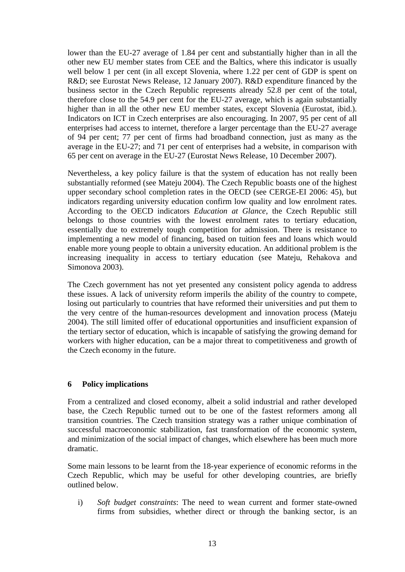lower than the EU-27 average of 1.84 per cent and substantially higher than in all the other new EU member states from CEE and the Baltics, where this indicator is usually well below 1 per cent (in all except Slovenia, where 1.22 per cent of GDP is spent on R&D; see Eurostat News Release, 12 January 2007). R&D expenditure financed by the business sector in the Czech Republic represents already 52.8 per cent of the total, therefore close to the 54.9 per cent for the EU-27 average, which is again substantially higher than in all the other new EU member states, except Slovenia (Eurostat, ibid.). Indicators on ICT in Czech enterprises are also encouraging. In 2007, 95 per cent of all enterprises had access to internet, therefore a larger percentage than the EU-27 average of 94 per cent; 77 per cent of firms had broadband connection, just as many as the average in the EU-27; and 71 per cent of enterprises had a website, in comparison with 65 per cent on average in the EU-27 (Eurostat News Release, 10 December 2007).

Nevertheless, a key policy failure is that the system of education has not really been substantially reformed (see Mateju 2004). The Czech Republic boasts one of the highest upper secondary school completion rates in the OECD (see CERGE-EI 2006: 45), but indicators regarding university education confirm low quality and low enrolment rates. According to the OECD indicators *Education at Glance*, the Czech Republic still belongs to those countries with the lowest enrolment rates to tertiary education, essentially due to extremely tough competition for admission. There is resistance to implementing a new model of financing, based on tuition fees and loans which would enable more young people to obtain a university education. An additional problem is the increasing inequality in access to tertiary education (see Mateju, Rehakova and Simonova 2003).

The Czech government has not yet presented any consistent policy agenda to address these issues. A lack of university reform imperils the ability of the country to compete, losing out particularly to countries that have reformed their universities and put them to the very centre of the human-resources development and innovation process (Mateju 2004). The still limited offer of educational opportunities and insufficient expansion of the tertiary sector of education, which is incapable of satisfying the growing demand for workers with higher education, can be a major threat to competitiveness and growth of the Czech economy in the future.

# **6 Policy implications**

From a centralized and closed economy, albeit a solid industrial and rather developed base, the Czech Republic turned out to be one of the fastest reformers among all transition countries. The Czech transition strategy was a rather unique combination of successful macroeconomic stabilization, fast transformation of the economic system, and minimization of the social impact of changes, which elsewhere has been much more dramatic.

Some main lessons to be learnt from the 18-year experience of economic reforms in the Czech Republic, which may be useful for other developing countries, are briefly outlined below.

i) *Soft budget constraints*: The need to wean current and former state-owned firms from subsidies, whether direct or through the banking sector, is an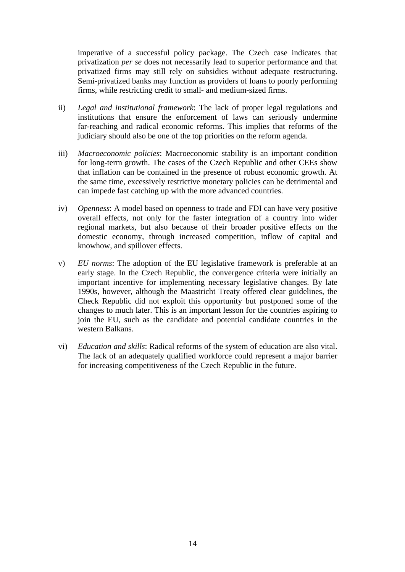imperative of a successful policy package. The Czech case indicates that privatization *per se* does not necessarily lead to superior performance and that privatized firms may still rely on subsidies without adequate restructuring. Semi-privatized banks may function as providers of loans to poorly performing firms, while restricting credit to small- and medium-sized firms.

- ii) *Legal and institutional framework*: The lack of proper legal regulations and institutions that ensure the enforcement of laws can seriously undermine far-reaching and radical economic reforms. This implies that reforms of the judiciary should also be one of the top priorities on the reform agenda.
- iii) *Macroeconomic policies*: Macroeconomic stability is an important condition for long-term growth. The cases of the Czech Republic and other CEEs show that inflation can be contained in the presence of robust economic growth. At the same time, excessively restrictive monetary policies can be detrimental and can impede fast catching up with the more advanced countries.
- iv) *Openness*: A model based on openness to trade and FDI can have very positive overall effects, not only for the faster integration of a country into wider regional markets, but also because of their broader positive effects on the domestic economy, through increased competition, inflow of capital and knowhow, and spillover effects.
- v) *EU norms*: The adoption of the EU legislative framework is preferable at an early stage. In the Czech Republic, the convergence criteria were initially an important incentive for implementing necessary legislative changes. By late 1990s, however, although the Maastricht Treaty offered clear guidelines, the Check Republic did not exploit this opportunity but postponed some of the changes to much later. This is an important lesson for the countries aspiring to join the EU, such as the candidate and potential candidate countries in the western Balkans.
- vi) *Education and skills*: Radical reforms of the system of education are also vital. The lack of an adequately qualified workforce could represent a major barrier for increasing competitiveness of the Czech Republic in the future.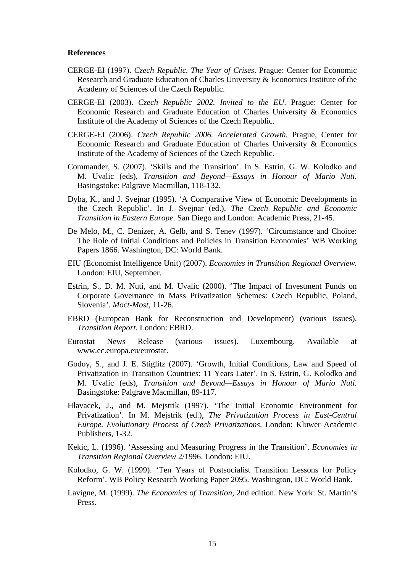#### **References**

- CERGE-EI (1997). *Czech Republic. The Year of Crises*. Prague: Center for Economic Research and Graduate Education of Charles University & Economics Institute of the Academy of Sciences of the Czech Republic.
- CERGE-EI (2003). *Czech Republic 2002. Invited to the EU*. Prague: Center for Economic Research and Graduate Education of Charles University & Economics Institute of the Academy of Sciences of the Czech Republic.
- CERGE-EI (2006). *Czech Republic 2006. Accelerated Growth.* Prague, Center for Economic Research and Graduate Education of Charles University & Economics Institute of the Academy of Sciences of the Czech Republic.
- Commander, S. (2007). 'Skills and the Transition'. In S. Estrin, G. W. Kolodko and M. Uvalic (eds), *Transition and Beyond—Essays in Honour of Mario Nuti.*  Basingstoke: Palgrave Macmillan, 118-132.
- Dyba, K., and J. Svejnar (1995). 'A Comparative View of Economic Developments in the Czech Republic'. In J. Svejnar (ed.), *The Czech Republic and Economic Transition in Eastern Europe*. San Diego and London: Academic Press, 21-45.
- De Melo, M., C. Denizer, A. Gelb, and S. Tenev (1997). 'Circumstance and Choice: The Role of Initial Conditions and Policies in Transition Economies' WB Working Papers 1866. Washington, DC: World Bank.
- EIU (Economist Intelligence Unit) (2007). *Economies in Transition Regional Overview.*  London: EIU, September.
- Estrin, S., D. M. Nuti, and M. Uvalic (2000). 'The Impact of Investment Funds on Corporate Governance in Mass Privatization Schemes: Czech Republic, Poland, Slovenia'. *Moct-Most*, 11-26.
- EBRD (European Bank for Reconstruction and Development) (various issues). *Transition Report*. London: EBRD.
- Eurostat News Release (various issues). Luxembourg. Available at www.ec.europa.eu/eurostat.
- Godoy, S., and J. E. Stiglitz (2007). 'Growth, Initial Conditions, Law and Speed of Privatization in Transition Countries: 11 Years Later'. In S. Estrin, G. Kolodko and M. Uvalic (eds), *Transition and Beyond—Essays in Honour of Mario Nuti.*  Basingstoke: Palgrave Macmillan, 89-117.
- Hlavacek, J., and M. Mejstrik (1997). 'The Initial Economic Environment for Privatization'. In M. Mejstrik (ed.), *The Privatization Process in East-Central Europe. Evolutionary Process of Czech Privatizations*. London: Kluwer Academic Publishers, 1-32.
- Kekic, L. (1996). 'Assessing and Measuring Progress in the Transition'. *Economies in Transition Regional Overview* 2/1996. London: EIU.
- Kolodko, G. W. (1999). 'Ten Years of Postsocialist Transition Lessons for Policy Reform'. WB Policy Research Working Paper 2095. Washington, DC: World Bank.
- Lavigne, M. (1999). *The Economics of Transition*, 2nd edition. New York: St. Martin's Press.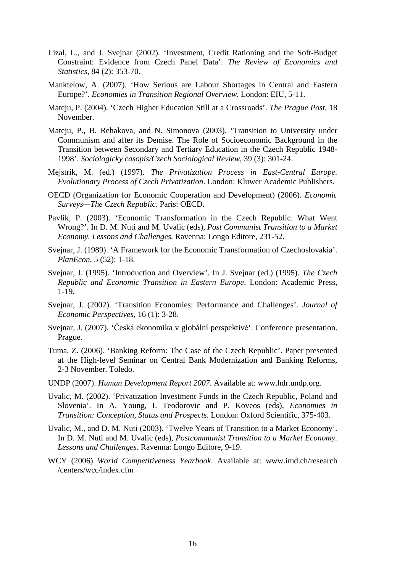- Lizal, L., and J. Svejnar (2002). 'Investment, Credit Rationing and the Soft-Budget Constraint: Evidence from Czech Panel Data'. *The Review of Economics and Statistics*, 84 (2): 353-70.
- Manktelow, A. (2007). 'How Serious are Labour Shortages in Central and Eastern Europe?'. *Economies in Transition Regional Overview.* London: EIU, 5-11.
- Mateju, P. (2004). 'Czech Higher Education Still at a Crossroads'. *The Prague Post*, 18 November.
- Mateju, P., B. Rehakova, and N. Simonova (2003). 'Transition to University under Communism and after its Demise. The Role of Socioeconomic Background in the Transition between Secondary and Tertiary Education in the Czech Republic 1948- 1998'. *Sociologicky casopis/Czech Sociological Review*, 39 (3): 301-24.
- Mejstrik, M. (ed.) (1997). *The Privatization Process in East-Central Europe. Evolutionary Process of Czech Privatization*. London: Kluwer Academic Publishers.
- OECD (Organization for Economic Cooperation and Development) (2006). *Economic Surveys—The Czech Republic*. Paris: OECD.
- Pavlik, P. (2003). 'Economic Transformation in the Czech Republic. What Went Wrong?'. In D. M. Nuti and M. Uvalic (eds), *Post Communist Transition to a Market Economy. Lessons and Challenges.* Ravenna: Longo Editore, 231-52.
- Svejnar, J. (1989). 'A Framework for the Economic Transformation of Czechoslovakia'. *PlanEcon*, 5 (52): 1-18.
- Svejnar, J. (1995). 'Introduction and Overview'. In J. Svejnar (ed.) (1995). *The Czech Republic and Economic Transition in Eastern Europe*. London: Academic Press, 1-19.
- Svejnar, J. (2002). 'Transition Economies: Performance and Challenges'. *Journal of Economic Perspectives*, 16 (1): 3-28.
- Svejnar, J. (2007). 'Česká ekonomika v globální perspektivě'. Conference presentation. Prague.
- Tuma, Z. (2006). 'Banking Reform: The Case of the Czech Republic'. Paper presented at the High-level Seminar on Central Bank Modernization and Banking Reforms, 2-3 November. Toledo.
- UNDP (2007). *Human Development Report 2007*. Available at: www.hdr.undp.org.
- Uvalic, M. (2002). 'Privatization Investment Funds in the Czech Republic, Poland and Slovenia'. In A. Young, I. Teodorovic and P. Koveos (eds), *Economies in Transition: Conception, Status and Prospects.* London: Oxford Scientific, 375-403.
- Uvalic, M., and D. M. Nuti (2003). 'Twelve Years of Transition to a Market Economy'. In D. M. Nuti and M. Uvalic (eds), *Postcommunist Transition to a Market Economy. Lessons and Challenges*. Ravenna: Longo Editore, 9-19.
- WCY (2006) *World Competitiveness Yearbook*. Available at: www.imd.ch/research /centers/wcc/index.cfm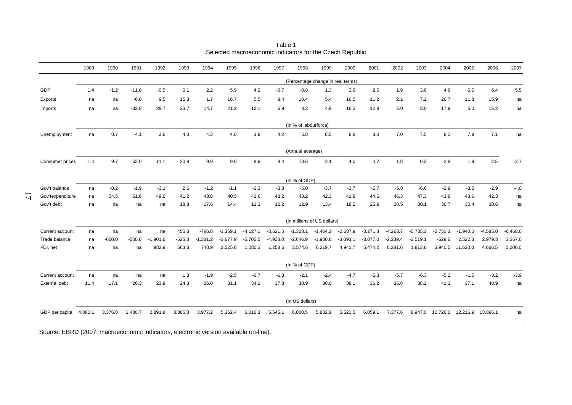|                  | 1989    | 1990     | 1991     | 1992       | 1993     | 1994       | 1995       | 1996       | 1997       | 1998                              | 1999       | 2000       | 2001       | 2002       | 2003       | 2004       | 2005       | 2006       | 2007       |
|------------------|---------|----------|----------|------------|----------|------------|------------|------------|------------|-----------------------------------|------------|------------|------------|------------|------------|------------|------------|------------|------------|
|                  |         |          |          |            |          |            |            |            |            | (Percentage change in real terms) |            |            |            |            |            |            |            |            |            |
| GDP              | 1.4     | $-1.2$   | $-11.6$  | $-0.5$     | 0.1      | 2.2        | 5.9        | 4.2        | $-0.7$     | $-0.8$                            | 1.3        | 3.6        | 2.5        | 1.9        | 3.6        | 4.6        | 6.5        | 6.4        | 5.5        |
| Exports          | na      | na       | $-6.0$   | 9.5        | 15.8     | 1.7        | 16.7       | 5.5        | 8.4        | 10.4                              | 5.4        | 16.5       | 11.2       | 2.1        | 7.2        | 20.7       | 11.8       | 15.9       | na         |
| Imports          | na      | na       | $-32.8$  | 29.7       | 23.7     | 14.7       | 21.2       | 12.1       | 6.9        | 8.3                               | 4.9        | 16.3       | 12.8       | 5.0        | 8.0        | 17.9       | 5.0        | 15.2       | na         |
|                  |         |          |          |            |          |            |            |            |            | (In % of labourforce)             |            |            |            |            |            |            |            |            |            |
| Unemployment     | na      | 0.7      | 4.1      | 2.6        | 4.3      | 4.3        | 4.0        | 3.9        | 4.2        | 5.8                               | 8.5        | 8.8        | 8.0        | 7.0        | 7.5        | 8.2        | 7.9        | 7.1        | na         |
|                  |         |          |          |            |          |            |            |            |            | (Annual average)                  |            |            |            |            |            |            |            |            |            |
| Consumer prices  | 1.4     | 9.7      | 52.0     | 11.1       | 20.8     | 9.9        | 9.6        | 8.9        | 8.4        | 10.6                              | 2.1        | 4.0        | 4.7        | 1.8        | 0.2        | 2.8        | 1.9        | 2.5        | 2.7        |
|                  |         |          |          |            |          |            |            |            |            | (In % of GDP)                     |            |            |            |            |            |            |            |            |            |
| Gov't balance    | na      | $-0.2$   | $-1.9$   | $-3.1$     | 2.6      | $-1.2$     | $-1.1$     | $-3.3$     | $-3.8$     | $-5.0$                            | $-3.7$     | $-3.7$     | $-5.7$     | $-6.8$     | $-6.6$     | $-2.9$     | $-3.5$     | $-2.9$     | $-4.0$     |
| Gov'texpenditure | na      | 54.5     | 51.6     | 49.6       | 41.2     | 43.8       | 40.5       | 42.6       | 43.2       | 43.2                              | 42.3       | 41.8       | 44.5       | 46.3       | 47.3       | 43.8       | 43.6       | 42.3       | na         |
| Gov't debt       | na      | na       | na       | na         | 18.8     | 17.6       | 14.4       | 12.3       | 12.2       | 12.9                              | 13.4       | 18.2       | 25.9       | 28.5       | 30.1       | 30.7       | 30.4       | 30.6       | na         |
|                  |         |          |          |            |          |            |            |            |            | (In millions of US dollars)       |            |            |            |            |            |            |            |            |            |
| Current account  | na      | na       | na       | na         | 455.8    | $-786.8$   | $-1.369.1$ | $-4.127.1$ | $-3.621.5$ | $-1.308.1$                        | $-1.464.2$ | $-2.687.9$ | $-3.271.8$ | $-4.263.7$ | $-5.785.3$ | $-5.751.3$ | $-1.940.0$ | $-4.585.0$ | $-6.468.0$ |
| Trade balance    | na      | $-600.0$ | $-500.0$ | $-1.901.6$ | $-525.3$ | $-1.381.2$ | $-3.677.9$ | $-5.705.5$ | $-4.938.0$ | $-2.646.9$                        | $-1.900.8$ | $-3.093.1$ | $-3.077.0$ | $-2.239.4$ | $-2.519.1$ | $-529.6$   | 2.522.3    | 2.979.3    | 3.367.0    |
| FDI, net         | na      | na       | na       | 982.9      | 563.3    | 748.9      | 2.525.6    | 1.280.3    | 1.258.6    | 3.574.6                           | 6.219.7    | 4.941.7    | 5.474.2    | 8.281.6    | 1.813.6    | 3.940.5    | 11.630.0   | 4.666.5    | 5.200.0    |
|                  |         |          |          |            |          |            |            |            |            | (In % of GDP)                     |            |            |            |            |            |            |            |            |            |
| Current account  | na      | na       | na       | na         | 1.3      | $-1.9$     | $-2.5$     | $-6.7$     | $-6.3$     | $-2.1$                            | $-2.4$     | $-4.7$     | $-5.3$     | $-5.7$     | $-6.3$     | $-5.2$     | $-1.5$     | $-3.2$     | $-3.9$     |
| External debt    | 11.4    | 17.1     | 26.3     | 23.8       | 24.3     | 26.0       | 31.1       | 34.2       | 37.8       | 38.9                              | 38.0       | 38.1       | 36.2       | 35.8       | 38.2       | 41.3       | 37.1       | 40.9       | na         |
|                  |         |          |          |            |          |            |            |            |            | (In US dollars)                   |            |            |            |            |            |            |            |            |            |
| GDP per capita   | 4.880.1 | 3.376.0  | 2.480.7  | 2.891.8    | 3.385.8  | 3.977.2    | 5.362.4    | 6.016.3    | 5.545.1    | 6.008.5                           | 5.832.9    | 5.520.5    | 6.059.1    | 7.377.6    | 8.947.0    | 10.726.0   | 12.216.9   | 13.896.1   | na         |

Table 1 Selected macroeconomic indicators for the Czech Republic

Source: EBRD (2007: macroeconomic indicators, electronic version available on-line).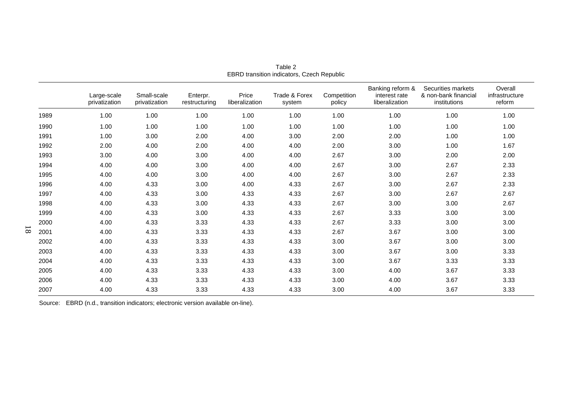|      | Large-scale<br>privatization | Small-scale<br>privatization | Enterpr.<br>restructuring | Price<br>liberalization | Trade & Forex<br>system | Competition<br>policy | Banking reform &<br>interest rate<br>liberalization | Securities markets<br>& non-bank financial<br>institutions | Overall<br>infrastructure<br>reform |
|------|------------------------------|------------------------------|---------------------------|-------------------------|-------------------------|-----------------------|-----------------------------------------------------|------------------------------------------------------------|-------------------------------------|
| 1989 | 1.00                         | 1.00                         | 1.00                      | 1.00                    | 1.00                    | 1.00                  | 1.00                                                | 1.00                                                       | 1.00                                |
| 1990 | 1.00                         | 1.00                         | 1.00                      | 1.00                    | 1.00                    | 1.00                  | 1.00                                                | 1.00                                                       | 1.00                                |
| 1991 | 1.00                         | 3.00                         | 2.00                      | 4.00                    | 3.00                    | 2.00                  | 2.00                                                | 1.00                                                       | 1.00                                |
| 1992 | 2.00                         | 4.00                         | 2.00                      | 4.00                    | 4.00                    | 2.00                  | 3.00                                                | 1.00                                                       | 1.67                                |
| 1993 | 3.00                         | 4.00                         | 3.00                      | 4.00                    | 4.00                    | 2.67                  | 3.00                                                | 2.00                                                       | 2.00                                |
| 1994 | 4.00                         | 4.00                         | 3.00                      | 4.00                    | 4.00                    | 2.67                  | 3.00                                                | 2.67                                                       | 2.33                                |
| 1995 | 4.00                         | 4.00                         | 3.00                      | 4.00                    | 4.00                    | 2.67                  | 3.00                                                | 2.67                                                       | 2.33                                |
| 1996 | 4.00                         | 4.33                         | 3.00                      | 4.00                    | 4.33                    | 2.67                  | 3.00                                                | 2.67                                                       | 2.33                                |
| 1997 | 4.00                         | 4.33                         | 3.00                      | 4.33                    | 4.33                    | 2.67                  | 3.00                                                | 2.67                                                       | 2.67                                |
| 1998 | 4.00                         | 4.33                         | 3.00                      | 4.33                    | 4.33                    | 2.67                  | 3.00                                                | 3.00                                                       | 2.67                                |
| 1999 | 4.00                         | 4.33                         | 3.00                      | 4.33                    | 4.33                    | 2.67                  | 3.33                                                | 3.00                                                       | 3.00                                |
| 2000 | 4.00                         | 4.33                         | 3.33                      | 4.33                    | 4.33                    | 2.67                  | 3.33                                                | 3.00                                                       | 3.00                                |
| 2001 | 4.00                         | 4.33                         | 3.33                      | 4.33                    | 4.33                    | 2.67                  | 3.67                                                | 3.00                                                       | 3.00                                |
| 2002 | 4.00                         | 4.33                         | 3.33                      | 4.33                    | 4.33                    | 3.00                  | 3.67                                                | 3.00                                                       | 3.00                                |
| 2003 | 4.00                         | 4.33                         | 3.33                      | 4.33                    | 4.33                    | 3.00                  | 3.67                                                | 3.00                                                       | 3.33                                |
| 2004 | 4.00                         | 4.33                         | 3.33                      | 4.33                    | 4.33                    | 3.00                  | 3.67                                                | 3.33                                                       | 3.33                                |
| 2005 | 4.00                         | 4.33                         | 3.33                      | 4.33                    | 4.33                    | 3.00                  | 4.00                                                | 3.67                                                       | 3.33                                |
| 2006 | 4.00                         | 4.33                         | 3.33                      | 4.33                    | 4.33                    | 3.00                  | 4.00                                                | 3.67                                                       | 3.33                                |
| 2007 | 4.00                         | 4.33                         | 3.33                      | 4.33                    | 4.33                    | 3.00                  | 4.00                                                | 3.67                                                       | 3.33                                |

Table 2 EBRD transition indicators, Czech Republic

Source: EBRD (n.d., transition indicators; electronic version available on-line).